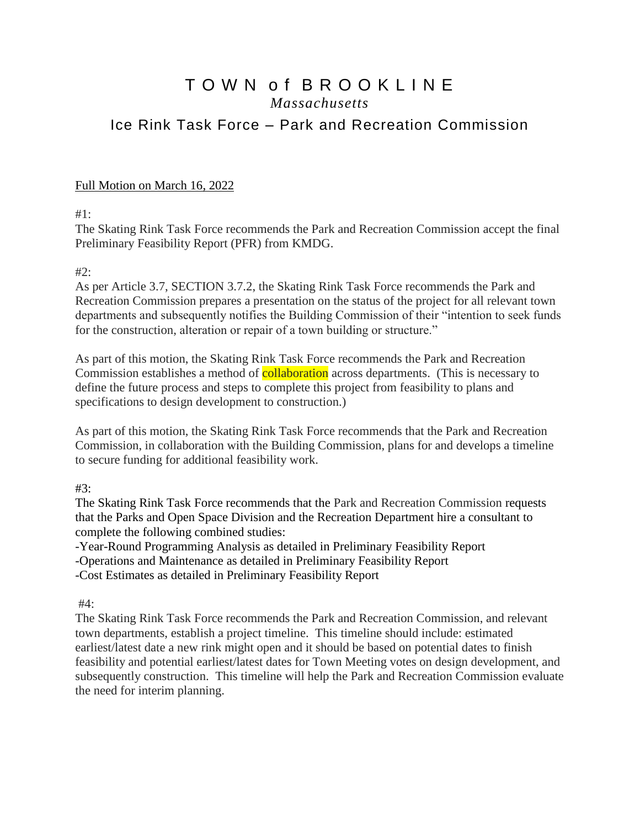## T O W N o f B R O O K L I N E *Massachusetts* Ice Rink Task Force – Park and Recreation Commission

## Full Motion on March 16, 2022

#1:

The Skating Rink Task Force recommends the Park and Recreation Commission accept the final Preliminary Feasibility Report (PFR) from KMDG.

## $#2$ :

As per Article 3.7, SECTION 3.7.2, the Skating Rink Task Force recommends the Park and Recreation Commission prepares a presentation on the status of the project for all relevant town departments and subsequently notifies the Building Commission of their "intention to seek funds for the construction, alteration or repair of a town building or structure."

As part of this motion, the Skating Rink Task Force recommends the Park and Recreation Commission establishes a method of **collaboration** across departments. (This is necessary to define the future process and steps to complete this project from feasibility to plans and specifications to design development to construction.)

As part of this motion, the Skating Rink Task Force recommends that the Park and Recreation Commission, in collaboration with the Building Commission, plans for and develops a timeline to secure funding for additional feasibility work.

#3:

The Skating Rink Task Force recommends that the Park and Recreation Commission requests that the Parks and Open Space Division and the Recreation Department hire a consultant to complete the following combined studies:

-Year-Round Programming Analysis as detailed in Preliminary Feasibility Report

-Operations and Maintenance as detailed in Preliminary Feasibility Report

-Cost Estimates as detailed in Preliminary Feasibility Report

#4:

The Skating Rink Task Force recommends the Park and Recreation Commission, and relevant town departments, establish a project timeline. This timeline should include: estimated earliest/latest date a new rink might open and it should be based on potential dates to finish feasibility and potential earliest/latest dates for Town Meeting votes on design development, and subsequently construction. This timeline will help the Park and Recreation Commission evaluate the need for interim planning.